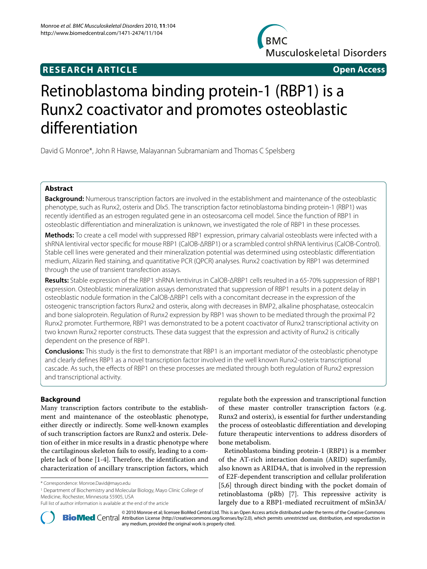# **RESEARCH ARTICLE Open Access**

**BMC Musculoskeletal Disorders** 

# Retinoblastoma binding protein-1 (RBP1) is a Runx2 coactivator and promotes osteoblastic differentiation

David G Monroe\*, John R Hawse, Malayannan Subramaniam and Thomas C Spelsberg

# **Abstract**

**Background:** Numerous transcription factors are involved in the establishment and maintenance of the osteoblastic phenotype, such as Runx2, osterix and Dlx5. The transcription factor retinoblastoma binding protein-1 (RBP1) was recently identified as an estrogen regulated gene in an osteosarcoma cell model. Since the function of RBP1 in osteoblastic differentiation and mineralization is unknown, we investigated the role of RBP1 in these processes.

**Methods:** To create a cell model with suppressed RBP1 expression, primary calvarial osteoblasts were infected with a shRNA lentiviral vector specific for mouse RBP1 (CalOB-ΔRBP1) or a scrambled control shRNA lentivirus (CalOB-Control). Stable cell lines were generated and their mineralization potential was determined using osteoblastic differentiation medium, Alizarin Red staining, and quantitative PCR (QPCR) analyses. Runx2 coactivation by RBP1 was determined through the use of transient transfection assays.

**Results:** Stable expression of the RBP1 shRNA lentivirus in CalOB-ΔRBP1 cells resulted in a 65-70% suppression of RBP1 expression. Osteoblastic mineralization assays demonstrated that suppression of RBP1 results in a potent delay in osteoblastic nodule formation in the CalOB-ΔRBP1 cells with a concomitant decrease in the expression of the osteogenic transcription factors Runx2 and osterix, along with decreases in BMP2, alkaline phosphatase, osteocalcin and bone sialoprotein. Regulation of Runx2 expression by RBP1 was shown to be mediated through the proximal P2 Runx2 promoter. Furthermore, RBP1 was demonstrated to be a potent coactivator of Runx2 transcriptional activity on two known Runx2 reporter constructs. These data suggest that the expression and activity of Runx2 is critically dependent on the presence of RBP1.

**Conclusions:** This study is the first to demonstrate that RBP1 is an important mediator of the osteoblastic phenotype and clearly defines RBP1 as a novel transcription factor involved in the well known Runx2-osterix transcriptional cascade. As such, the effects of RBP1 on these processes are mediated through both regulation of Runx2 expression and transcriptional activity.

# **Background**

Many transcription factors contribute to the establishment and maintenance of the osteoblastic phenotype, either directly or indirectly. Some well-known examples of such transcription factors are Runx2 and osterix. Deletion of either in mice results in a drastic phenotype where the cartilaginous skeleton fails to ossify, leading to a complete lack of bone [\[1](#page-8-0)-[4\]](#page-8-1). Therefore, the identification and characterization of ancillary transcription factors, which

1 Department of Biochemistry and Molecular Biology, Mayo Clinic College of Medicine, Rochester, Minnesota 55905, USA

regulate both the expression and transcriptional function of these master controller transcription factors (e.g. Runx2 and osterix), is essential for further understanding the process of osteoblastic differentiation and developing future therapeutic interventions to address disorders of bone metabolism.

Retinoblastoma binding protein-1 (RBP1) is a member of the AT-rich interaction domain (ARID) superfamily, also known as ARID4A, that is involved in the repression of E2F-dependent transcription and cellular proliferation [[5,](#page-8-2)[6\]](#page-8-3) through direct binding with the pocket domain of retinoblastoma (pRb) [\[7\]](#page-8-4). This repressive activity is largely due to a RBP1-mediated recruitment of mSin3A/



2010 Monroe et al; licensee [BioMed](http://www.biomedcentral.com/) Central Ltd. This is an Open Access article distributed under the terms of the Creative Commons (http://creativecommons.org/licenses/by/2.0), which permits unrestricted use, distribution, any medium, provided the original work is properly cited.

<sup>\*</sup> Correspondence: Monroe.David@mayo.edu

Full list of author information is available at the end of the article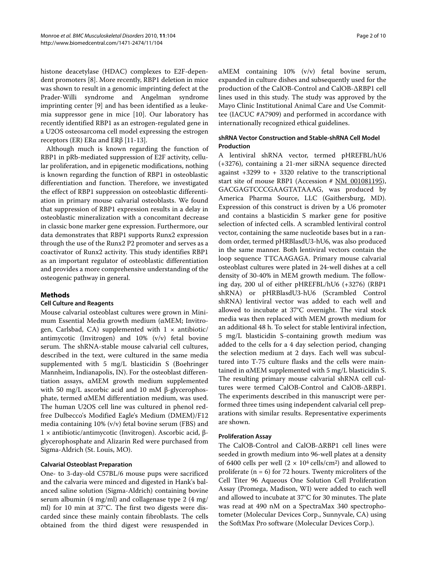histone deacetylase (HDAC) complexes to E2F-dependent promoters [[8\]](#page-8-5). More recently, RBP1 deletion in mice was shown to result in a genomic imprinting defect at the Prader-Willi syndrome and Angelman syndrome imprinting center [\[9](#page-8-6)] and has been identified as a leukemia suppressor gene in mice [[10\]](#page-8-7). Our laboratory has recently identified RBP1 as an estrogen-regulated gene in a U2OS osteosarcoma cell model expressing the estrogen receptors (ER) ERα and ERβ [[11-](#page-8-8)[13](#page-8-9)].

Although much is known regarding the function of RBP1 in pRb-mediated suppression of E2F activity, cellular proliferation, and in epigenetic modifications, nothing is known regarding the function of RBP1 in osteoblastic differentiation and function. Therefore, we investigated the effect of RBP1 suppression on osteoblastic differentiation in primary mouse calvarial osteoblasts. We found that suppression of RBP1 expression results in a delay in osteoblastic mineralization with a concomitant decrease in classic bone marker gene expression. Furthermore, our data demonstrates that RBP1 supports Runx2 expression through the use of the Runx2 P2 promoter and serves as a coactivator of Runx2 activity. This study identifies RBP1 as an important regulator of osteoblastic differentiation and provides a more comprehensive understanding of the osteogenic pathway in general.

# **Methods**

## **Cell Culture and Reagents**

Mouse calvarial osteoblast cultures were grown in Minimum Essential Media growth medium (αMEM; Invitrogen, Carlsbad, CA) supplemented with  $1 \times$  antibiotic/ antimycotic (Invitrogen) and 10% (v/v) fetal bovine serum. The shRNA-stable mouse calvarial cell cultures, described in the text, were cultured in the same media supplemented with 5 mg/L blasticidin S (Boehringer Mannheim, Indianapolis, IN). For the osteoblast differentiation assays, αMEM growth medium supplemented with 50 mg/L ascorbic acid and 10 mM β-glycerophosphate, termed αMEM differentiation medium, was used. The human U2OS cell line was cultured in phenol redfree Dulbecco's Modified Eagle's Medium (DMEM)/F12 media containing 10% (v/v) fetal bovine serum (FBS) and 1 × antibiotic/antimycotic (Invitrogen). Ascorbic acid, βglycerophosphate and Alizarin Red were purchased from Sigma-Aldrich (St. Louis, MO).

## **Calvarial Osteoblast Preparation**

One- to 3-day-old C57BL/6 mouse pups were sacrificed and the calvaria were minced and digested in Hank's balanced saline solution (Sigma-Aldrich) containing bovine serum albumin (4 mg/ml) and collagenase type 2 (4 mg/ ml) for 10 min at 37°C. The first two digests were discarded since these mainly contain fibroblasts. The cells obtained from the third digest were resuspended in

αMEM containing 10% (v/v) fetal bovine serum, expanded in culture dishes and subsequently used for the production of the CalOB-Control and CalOB-ΔRBP1 cell lines used in this study. The study was approved by the Mayo Clinic Institutional Animal Care and Use Committee (IACUC #A7909) and performed in accordance with internationally recognized ethical guidelines.

# **shRNA Vector Construction and Stable-shRNA Cell Model Production**

A lentiviral shRNA vector, termed pHREFBL/hU6 (+3276), containing a 21-mer siRNA sequence directed against +3299 to + 3320 relative to the transcriptional start site of mouse RBP1 (Accession # [NM\\_001081195](http://www.ncbi.nih.gov/entrez/query.fcgi?db=Nucleotide&cmd=search&term=NM_001081195)), GACGAGTCCCGAAGTATAAAG, was produced by America Pharma Source, LLC (Gaithersburg, MD). Expression of this construct is driven by a U6 promoter and contains a blasticidin S marker gene for positive selection of infected cells. A scrambled lentiviral control vector, containing the same nucleotide bases but in a random order, termed pHRBlasdU3-hU6, was also produced in the same manner. Both lentiviral vectors contain the loop sequence TTCAAGAGA. Primary mouse calvarial osteoblast cultures were plated in 24-well dishes at a cell density of 30-40% in MEM growth medium. The following day, 200 ul of either pHREFBL/hU6 (+3276) (RBP1 shRNA) or pHRBlasdU3-hU6 (Scrambled Control shRNA) lentiviral vector was added to each well and allowed to incubate at 37°C overnight. The viral stock media was then replaced with MEM growth medium for an additional 48 h. To select for stable lentiviral infection, 5 mg/L blasticidin S-containing growth medium was added to the cells for a 4 day selection period, changing the selection medium at 2 days. Each well was subcultured into T-75 culture flasks and the cells were maintained in αMEM supplemented with 5 mg/L blasticidin S. The resulting primary mouse calvarial shRNA cell cultures were termed CalOB-Control and CalOB-ΔRBP1. The experiments described in this manuscript were performed three times using independent calvarial cell preparations with similar results. Representative experiments are shown.

#### **Proliferation Assay**

The CalOB-Control and CalOB-ΔRBP1 cell lines were seeded in growth medium into 96-well plates at a density of 6400 cells per well  $(2 \times 10^4 \text{ cells/cm}^2)$  and allowed to proliferate  $(n = 6)$  for 72 hours. Twenty microliters of the Cell Titer 96 Aqueous One Solution Cell Proliferation Assay (Promega, Madison, WI) were added to each well and allowed to incubate at 37°C for 30 minutes. The plate was read at 490 nM on a SpectraMax 340 spectrophotometer (Molecular Devices Corp., Sunnyvale, CA) using the SoftMax Pro software (Molecular Devices Corp.).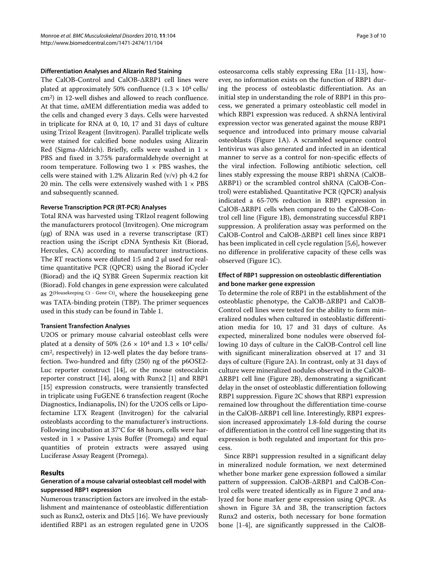#### **Differentiation Analyses and Alizarin Red Staining**

The CalOB-Control and CalOB-ΔRBP1 cell lines were plated at approximately 50% confluence  $(1.3 \times 10^4 \text{ cells})$ cm2) in 12-well dishes and allowed to reach confluence. At that time, αMEM differentiation media was added to the cells and changed every 3 days. Cells were harvested in triplicate for RNA at 0, 10, 17 and 31 days of culture using Trizol Reagent (Invitrogen). Parallel triplicate wells were stained for calcified bone nodules using Alizarin Red (Sigma-Aldrich). Briefly, cells were washed in  $1 \times$ PBS and fixed in 3.75% paraformaldehyde overnight at room temperature. Following two  $1 \times PBS$  washes, the cells were stained with 1.2% Alizarin Red (v/v) ph 4.2 for 20 min. The cells were extensively washed with  $1 \times PBS$ and subsequently scanned.

#### **Reverse Transcription PCR (RT-PCR) Analyses**

Total RNA was harvested using TRIzol reagent following the manufacturers protocol (Invitrogen). One microgram (μg) of RNA was used in a reverse transcriptase (RT) reaction using the iScript cDNA Synthesis Kit (Biorad, Hercules, CA) according to manufacturer instructions. The RT reactions were diluted 1:5 and 2 μl used for realtime quantitative PCR (QPCR) using the Biorad iCycler (Biorad) and the iQ SYBR Green Supermix reaction kit (Biorad). Fold changes in gene expression were calculated as 2(Housekeeping Ct - Gene Ct), where the housekeeping gene was TATA-binding protein (TBP). The primer sequences used in this study can be found in Table 1.

#### **Transient Transfection Analyses**

U2OS or primary mouse calvarial osteoblast cells were plated at a density of 50% (2.6  $\times$  10<sup>4</sup> and 1.3  $\times$  10<sup>4</sup> cells/ cm2, respectively) in 12-well plates the day before transfection. Two-hundred and fifty (250) ng of the p6OSE2- Luc reporter construct [[14\]](#page-8-10), or the mouse osteocalcin reporter construct [\[14](#page-8-10)], along with Runx2 [\[1](#page-8-0)] and RBP1 [[15\]](#page-8-11) expression constructs, were transiently transfected in triplicate using FuGENE 6 transfection reagent (Roche Diagnostics, Indianapolis, IN) for the U2OS cells or Lipofectamine LTX Reagent (Invitrogen) for the calvarial osteoblasts according to the manufacturer's instructions. Following incubation at 37°C for 48 hours, cells were harvested in  $1 \times$  Passive Lysis Buffer (Promega) and equal quantities of protein extracts were assayed using Luciferase Assay Reagent (Promega).

#### **Results**

#### **Generation of a mouse calvarial osteoblast cell model with suppressed RBP1 expression**

Numerous transcription factors are involved in the establishment and maintenance of osteoblastic differentiation such as Runx2, osterix and Dlx5 [\[16](#page-8-12)]. We have previously identified RBP1 as an estrogen regulated gene in U2OS

osteosarcoma cells stably expressing ERα [[11-](#page-8-8)[13](#page-8-9)], however, no information exists on the function of RBP1 during the process of osteoblastic differentiation. As an initial step in understanding the role of RBP1 in this process, we generated a primary osteoblastic cell model in which RBP1 expression was reduced. A shRNA lentiviral expression vector was generated against the mouse RBP1 sequence and introduced into primary mouse calvarial osteoblasts (Figure [1A](#page-4-0)). A scrambled sequence control lentivirus was also generated and infected in an identical manner to serve as a control for non-specific effects of the viral infection. Following antibiotic selection, cell lines stably expressing the mouse RBP1 shRNA (CalOB-ΔRBP1) or the scrambled control shRNA (CalOB-Control) were established. Quantitative PCR (QPCR) analysis indicated a 65-70% reduction in RBP1 expression in CalOB-ΔRBP1 cells when compared to the CalOB-Control cell line (Figure [1B](#page-4-0)), demonstrating successful RBP1 suppression. A proliferation assay was performed on the CalOB-Control and CalOB-ΔRBP1 cell lines since RBP1 has been implicated in cell cycle regulation [\[5](#page-8-2)[,6](#page-8-3)], however no difference in proliferative capacity of these cells was observed (Figure [1](#page-4-0)C).

# **Effect of RBP1 suppression on osteoblastic differentiation and bone marker gene expression**

To determine the role of RBP1 in the establishment of the osteoblastic phenotype, the CalOB-ΔRBP1 and CalOB-Control cell lines were tested for the ability to form mineralized nodules when cultured in osteoblastic differentiation media for 10, 17 and 31 days of culture. As expected, mineralized bone nodules were observed following 10 days of culture in the CalOB-Control cell line with significant mineralization observed at 17 and 31 days of culture (Figure [2](#page-5-0)A). In contrast, only at 31 days of culture were mineralized nodules observed in the CalOB-ΔRBP1 cell line (Figure [2](#page-5-0)B), demonstrating a significant delay in the onset of osteoblastic differentiation following RBP1 suppression. Figure [2C](#page-5-0) shows that RBP1 expression remained low throughout the differentiation time-course in the CalOB-ΔRBP1 cell line. Interestingly, RBP1 expression increased approximately 1.8-fold during the course of differentiation in the control cell line suggesting that its expression is both regulated and important for this process.

Since RBP1 suppression resulted in a significant delay in mineralized nodule formation, we next determined whether bone marker gene expression followed a similar pattern of suppression. CalOB-ΔRBP1 and CalOB-Control cells were treated identically as in Figure [2](#page-5-0) and analyzed for bone marker gene expression using QPCR. As shown in Figure [3A](#page-6-0) and [3B](#page-6-0), the transcription factors Runx2 and osterix, both necessary for bone formation bone [[1](#page-8-0)[-4](#page-8-1)], are significantly suppressed in the CalOB-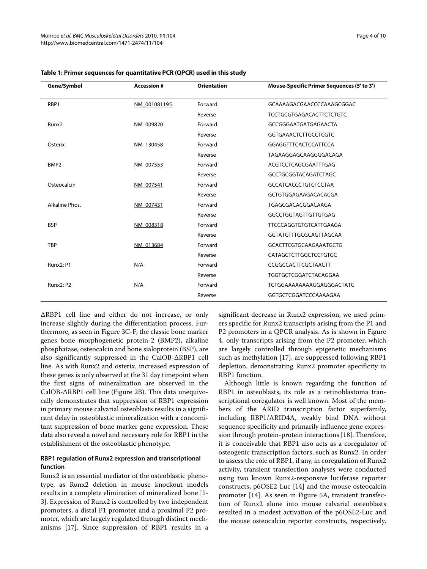| Gene/Symbol       | <b>Accession #</b> | <b>Orientation</b> | Mouse-Specific Primer Sequences (5' to 3') |
|-------------------|--------------------|--------------------|--------------------------------------------|
| RBP1              | NM 001081195       | Forward            | GCAAAAGACGAACCCCAAAGCGGAC                  |
|                   |                    | Reverse            | <b>TCCTGCGTGAGACACTTCTCTGTC</b>            |
| Runx <sub>2</sub> | NM 009820          | Forward            | GCCGGGAATGATGAGAACTA                       |
|                   |                    | Reverse            | <b>GGTGAAACTCTTGCCTCGTC</b>                |
| Osterix           | NM 130458          | Forward            | <b>GGAGGTTTCACTCCATTCCA</b>                |
|                   |                    | Reverse            | TAGAAGGAGCAAGGGGACAGA                      |
| BMP <sub>2</sub>  | NM 007553          | Forward            | ACGTCCTCAGCGAATTTGAG                       |
|                   |                    | Reverse            | <b>GCCTGCGGTACAGATCTAGC</b>                |
| Osteocalcin       | NM 007541          | Forward            | <b>GCCATCACCCTGTCTCCTAA</b>                |
|                   |                    | Reverse            | GCTGTGGAGAAGACACACGA                       |
| Alkaline Phos.    | NM 007431          | Forward            | TGAGCGACACGGACAAGA                         |
|                   |                    | Reverse            | GGCCTGGTAGTTGTTGTGAG                       |
| <b>BSP</b>        | NM 008318          | Forward            | <b>TTCCCAGGTGTGTCATTGAAGA</b>              |
|                   |                    | Reverse            | GGTATGTTTGCGCAGTTAGCAA                     |
| <b>TBP</b>        | NM 013684          | Forward            | GCACTTCGTGCAAGAAATGCTG                     |
|                   |                    | Reverse            | <b>CATAGCTCTTGGCTCCTGTGC</b>               |
| Runx2: P1         | N/A                | Forward            | CCGGCCACTTCGCTAACTT                        |
|                   |                    | Reverse            | TGGTGCTCGGATCTACAGGAA                      |
| Runx2: P2         | N/A                | Forward            | TCTGGAAAAAAAAAGGAGGACTATG                  |
|                   |                    | Reverse            | GGTGCTCGGATCCCAAAAGAA                      |

#### **Table 1: Primer sequences for quantitative PCR (QPCR) used in this study**

ΔRBP1 cell line and either do not increase, or only increase slightly during the differentiation process. Furthermore, as seen in Figure [3C](#page-6-0)-F, the classic bone marker genes bone morphogenetic protein-2 (BMP2), alkaline phosphatase, osteocalcin and bone sialoprotein (BSP), are also significantly suppressed in the CalOB-ΔRBP1 cell line. As with Runx2 and osterix, increased expression of these genes is only observed at the 31 day timepoint when the first signs of mineralization are observed in the CalOB-ΔRBP1 cell line (Figure [2](#page-5-0)B). This data unequivocally demonstrates that suppression of RBP1 expression in primary mouse calvarial osteoblasts results in a significant delay in osteoblastic mineralization with a concomitant suppression of bone marker gene expression. These data also reveal a novel and necessary role for RBP1 in the establishment of the osteoblastic phenotype.

#### **RBP1 regulation of Runx2 expression and transcriptional function**

Runx2 is an essential mediator of the osteoblastic phenotype, as Runx2 deletion in mouse knockout models results in a complete elimination of mineralized bone [\[1-](#page-8-0) [3\]](#page-8-13). Expression of Runx2 is controlled by two independent promoters, a distal P1 promoter and a proximal P2 promoter, which are largely regulated through distinct mechanisms [\[17\]](#page-8-14). Since suppression of RBP1 results in a significant decrease in Runx2 expression, we used primers specific for Runx2 transcripts arising from the P1 and P2 promoters in a QPCR analysis. As is shown in Figure [4,](#page-6-1) only transcripts arising from the P2 promoter, which are largely controlled through epigenetic mechanisms such as methylation [[17\]](#page-8-14), are suppressed following RBP1 depletion, demonstrating Runx2 promoter specificity in RBP1 function.

Although little is known regarding the function of RBP1 in osteoblasts, its role as a retinoblastoma transcriptional coregulator is well known. Most of the members of the ARID transcription factor superfamily, including RBP1/ARID4A, weakly bind DNA without sequence specificity and primarily influence gene expression through protein-protein interactions [\[18](#page-8-15)]. Therefore, it is conceivable that RBP1 also acts as a coregulator of osteogenic transcription factors, such as Runx2. In order to assess the role of RBP1, if any, in coregulation of Runx2 activity, transient transfection analyses were conducted using two known Runx2-responsive luciferase reporter constructs, p6OSE2-Luc [[14\]](#page-8-10) and the mouse osteocalcin promoter [\[14\]](#page-8-10). As seen in Figure [5](#page-7-0)A, transient transfection of Runx2 alone into mouse calvarial osteoblasts resulted in a modest activation of the p6OSE2-Luc and the mouse osteocalcin reporter constructs, respectively.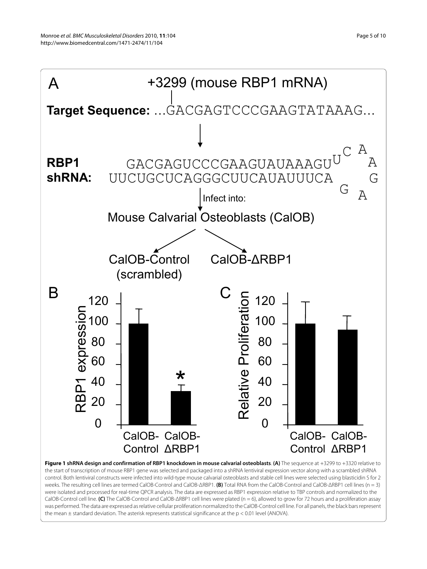<span id="page-4-0"></span>

weeks. The resulting cell lines are termed CalOB-Control and CalOB-ΔRBP1. **(B)** Total RNA from the CalOB-Control and CalOB-ΔRBP1 cell lines (n = 3) were isolated and processed for real-time QPCR analysis. The data are expressed as RBP1 expression relative to TBP controls and normalized to the CalOB-Control cell line. **(C)** The CalOB-Control and CalOB-ΔRBP1 cell lines were plated (n = 6), allowed to grow for 72 hours and a proliferation assay was performed. The data are expressed as relative cellular proliferation normalized to the CalOB-Control cell line. For all panels, the black bars represent the mean  $\pm$  standard deviation. The asterisk represents statistical significance at the  $p < 0.01$  level (ANOVA).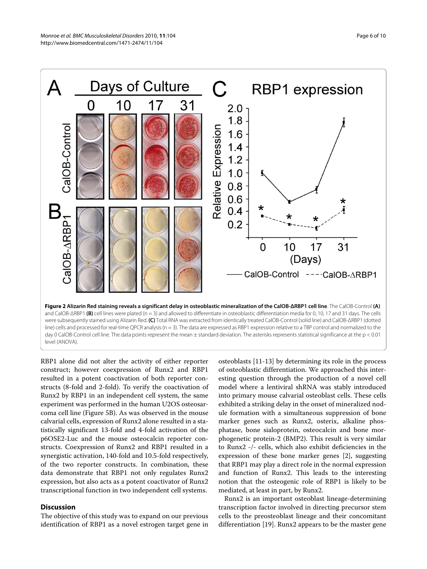<span id="page-5-0"></span>

and CalOB- $\triangle$ RBP1 **(B)** cell lines were plated (n = 3) and allowed to differentiate in osteoblastic differentiation media for 0, 10, 17 and 31 days. The cells were subsequently stained using Alizarin Red. **(C)** Total RNA was extracted from identically treated CalOB-Control (solid line) and CalOB-ΔRBP1 (dotted line) cells and processed for real-time QPCR analysis (n = 3). The data are expressed as RBP1 expression relative to a TBP control and normalized to the day 0 CalOB-Control cell line. The data points represent the mean ± standard deviation. The asterisks represents statistical significance at the p < 0.01 level (ANOVA).

RBP1 alone did not alter the activity of either reporter construct; however coexpression of Runx2 and RBP1 resulted in a potent coactivation of both reporter constructs (8-fold and 2-fold). To verify the coactivation of Runx2 by RBP1 in an independent cell system, the same experiment was performed in the human U2OS osteosarcoma cell line (Figure [5](#page-7-0)B). As was observed in the mouse calvarial cells, expression of Runx2 alone resulted in a statistically significant 13-fold and 4-fold activation of the p6OSE2-Luc and the mouse osteocalcin reporter constructs. Coexpression of Runx2 and RBP1 resulted in a synergistic activation, 140-fold and 10.5-fold respectively, of the two reporter constructs. In combination, these data demonstrate that RBP1 not only regulates Runx2 expression, but also acts as a potent coactivator of Runx2 transcriptional function in two independent cell systems.

# **Discussion**

The objective of this study was to expand on our previous identification of RBP1 as a novel estrogen target gene in

osteoblasts [[11](#page-8-8)[-13](#page-8-9)] by determining its role in the process of osteoblastic differentiation. We approached this interesting question through the production of a novel cell model where a lentiviral shRNA was stably introduced into primary mouse calvarial osteoblast cells. These cells exhibited a striking delay in the onset of mineralized nodule formation with a simultaneous suppression of bone marker genes such as Runx2, osterix, alkaline phosphatase, bone sialoprotein, osteocalcin and bone morphogenetic protein-2 (BMP2). This result is very similar to Runx2 -/- cells, which also exhibit deficiencies in the expression of these bone marker genes [[2\]](#page-8-16), suggesting that RBP1 may play a direct role in the normal expression and function of Runx2. This leads to the interesting notion that the osteogenic role of RBP1 is likely to be mediated, at least in part, by Runx2.

Runx2 is an important osteoblast lineage-determining transcription factor involved in directing precursor stem cells to the preosteoblast lineage and their concomitant differentiation [\[19\]](#page-8-17). Runx2 appears to be the master gene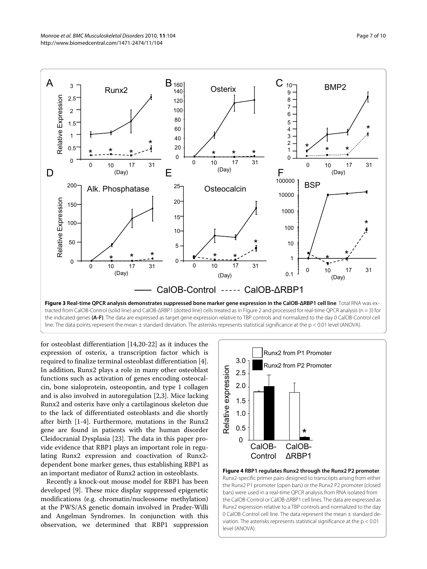<span id="page-6-0"></span>

tracted from CalOB-Control (solid line) and CalOB-ΔRBP1 (dotted line) cells treated as in Figure 2 and processed for real-time QPCR analysis (n = 3) for the indicated genes **(A-F)**. The data are expressed as target gene expression relative to TBP controls and normalized to the day 0 CalOB-Control cell line. The data points represent the mean ± standard deviation. The asterisks represents statistical significance at the p < 0.01 level (ANOVA).

for osteoblast differentiation [[14,](#page-8-10)[20](#page-8-18)[-22](#page-9-0)] as it induces the expression of osterix, a transcription factor which is required to finalize terminal osteoblast differentiation [\[4](#page-8-1)]. In addition, Runx2 plays a role in many other osteoblast functions such as activation of genes encoding osteocalcin, bone sialoprotein, osteopontin, and type 1 collagen and is also involved in autoregulation [[2](#page-8-16),[3\]](#page-8-13). Mice lacking Runx2 and osterix have only a cartilaginous skeleton due to the lack of differentiated osteoblasts and die shortly after birth [\[1](#page-8-0)-[4\]](#page-8-1). Furthermore, mutations in the Runx2 gene are found in patients with the human disorder Cleidocranial Dysplasia [[23\]](#page-9-1). The data in this paper provide evidence that RBP1 plays an important role in regulating Runx2 expression and coactivation of Runx2 dependent bone marker genes, thus establishing RBP1 as an important mediator of Runx2 action in osteoblasts.

Recently a knock-out mouse model for RBP1 has been developed [[9\]](#page-8-6). These mice display suppressed epigenetic modifications (e.g. chromatin/nucleosome methylation) at the PWS/AS genetic domain involved in Prader-Willi and Angelman Syndromes. In conjunction with this observation, we determined that RBP1 suppression

<span id="page-6-1"></span>

**Figure 4 RBP1 regulates Runx2 through the Runx2 P2 promoter**. Runx2-specific primer pairs designed to transcripts arising from either the Runx2 P1 promoter (open bars) or the Runx2 P2 promoter (closed bars) were used in a real-time QPCR analysis from RNA isolated from the CalOB-Control or CalOB-ΔRBP1 cell lines. The data are expressed as Runx2 expression relative to a TBP controls and normalized to the day 0 CalOB-Control cell line. The data represent the mean ± standard deviation. The asterisks represents statistical significance at the p < 0.01 level (ANOVA).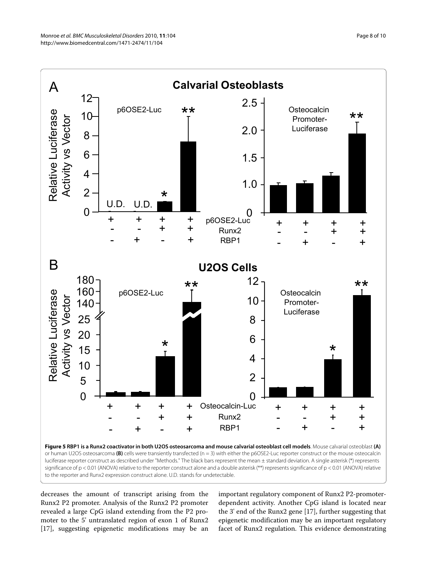<span id="page-7-0"></span>

decreases the amount of transcript arising from the Runx2 P2 promoter. Analysis of the Runx2 P2 promoter revealed a large CpG island extending from the P2 promoter to the 5' untranslated region of exon 1 of Runx2 [[17\]](#page-8-14), suggesting epigenetic modifications may be an important regulatory component of Runx2 P2-promoterdependent activity. Another CpG island is located near the 3' end of the Runx2 gene [\[17](#page-8-14)], further suggesting that epigenetic modification may be an important regulatory facet of Runx2 regulation. This evidence demonstrating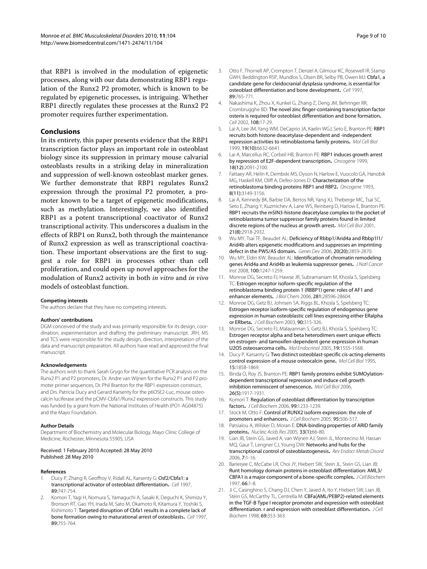that RBP1 is involved in the modulation of epigenetic processes, along with our data demonstrating RBP1 regulation of the Runx2 P2 promoter, which is known to be regulated by epigenetic processes, is intriguing. Whether RBP1 directly regulates these processes at the Runx2 P2 promoter requires further experimentation.

#### **Conclusions**

In its entirety, this paper presents evidence that the RBP1 transcription factor plays an important role in osteoblast biology since its suppression in primary mouse calvarial osteoblasts results in a striking delay in mineralization and suppression of well-known osteoblast marker genes. We further demonstrate that RBP1 regulates Runx2 expression through the proximal P2 promoter, a promoter known to be a target of epigenetic modifications, such as methylation. Interestingly, we also identified RBP1 as a potent transcriptional coactivator of Runx2 transcriptional activity. This underscores a dualism in the effects of RBP1 on Runx2, both through the maintenance of Runx2 expression as well as transcriptional coactivation. These important observations are the first to suggest a role for RBP1 in processes other than cell proliferation, and could open up novel approaches for the modulation of Runx2 activity in both *in vitro* and *in vivo* models of osteoblast function.

#### **Competing interests**

The authors declare that they have no competing interests.

#### **Authors' contributions**

DGM conceived of the study and was primarily responsible for its design, coordination, experimentation and drafting the preliminary manuscript. JRH, MS and TCS were responsible for the study design, direction, interpretation of the data and manuscript preparation. All authors have read and approved the final manuscript.

#### **Acknowledgements**

The authors wish to thank Sarah Grygo for the quantitative PCR analysis on the Runx2 P1 and P2 promoters, Dr. Andre van Wijnen for the Runx2 P1 and P2 promoter primer sequences, Dr. Phil Branton for the RBP1 expression construct, and Drs. Patricia Ducy and Gerard Karsenty for the p6OSE2-Luc, mouse osteocalcin luciferase and the pCMV-Cbfa1/Runx2 expression constructs. This study was funded by a grant from the National Institutes of Health (PO1-AG04875) and the Mayo Foundation.

#### **Author Details**

Department of Biochemistry and Molecular Biology, Mayo Clinic College of Medicine, Rochester, Minnesota 55905, USA

#### Received: 1 February 2010 Accepted: 28 May 2010 Published: 28 May 2010

#### **References**

- <span id="page-8-0"></span>1. Ducy P, Zhang R, Geoffroy V, Ridall AL, Karsenty G: Osf2/Cbfa1: a transcriptional activator of osteoblast differentiation**.** Cell 1997, 89:747-754.
- <span id="page-8-16"></span>2. Komori T, Yagi H, Nomura S, Yamaguchi A, Sasaki K, Deguchi K, Shimizu Y, Bronson RT, Gao YH, Inada M, Sato M, Okamoto R, Kitamura Y, Yoshiki S, Kishimoto T: Targeted disruption of Cbfa1 results in a complete lack of bone formation owing to maturational arrest of osteoblasts**.** Cell 1997, 89:755-764.
- <span id="page-8-13"></span>3. Otto F, Thornell AP, Crompton T, Denzel A, Gilmour KC, Rosewell IR, Stamp GWH, Beddington RSP, Mundlos S, Olsen BR, Selby PB, Owen MJ: Cbfa1, a candidate gene for cleidocranial dysplasia syndrome, is essential for osteoblast differentiation and bone development**[.](http://www.ncbi.nlm.nih.gov/entrez/query.fcgi?cmd=Retrieve&db=PubMed&dopt=Abstract&list_uids=9182764)** Cell 1997, 89:765-771.
- <span id="page-8-1"></span>4. Nakashima K, Zhou X, Kunkel G, Zhang Z, Deng JM, Behringer RR, Crombrugghe BD: The novel zinc finger-containing transcription factor osterix is required for osteoblast differentiation and bone formation**.** Cell 2002, 108:17-29.
- <span id="page-8-2"></span>Lai A, Lee JM, Yang WM, DeCaprio JA, Kaelin WGJ, Seto E, Branton PE: RBP1 recruits both histone deacetylase-dependent and -independent repression activities to retinoblastoma family proteins**.** Mol Cell Biol 1999, 19(10):6632-6641.
- <span id="page-8-3"></span>6. Lai A, Marcellus RC, Corbeil HB, Branton PE: RBP1 induces growth arrest by repression of E2F-dependent transcription**.** Oncogene 1999, 18(12):2091-2100.
- <span id="page-8-4"></span>7. Fattaey AR, Helin K, Dembski MS, Dyson N, Harlow E, Vuocolo GA, Hanobik MG, Haskell KM, Oliff A, Defeo-Jones D: Characterization of the retinoblastoma binding proteins RBP1 and RBP2**[.](http://www.ncbi.nlm.nih.gov/entrez/query.fcgi?cmd=Retrieve&db=PubMed&dopt=Abstract&list_uids=8414517)** Oncogene 1993, 8(11):3149-3156.
- <span id="page-8-5"></span>8. Lai A, Kennedy BK, Barbie DA, Bertos NR, Yang XJ, Theberge MC, Tsai SC, Seto E, Zhang Y, Kuzmichev A, Lane WS, Reinberg D, Harlow E, Branton PE: RBP1 recruits the mSIN3-histone deacetylase complex to the pocket of retinoblastoma tumor suppressor family proteins found in limited discrete regions of the nucleus at growth arrest**.** Mol Cell Biol 2001, 21(8):2918-2932.
- <span id="page-8-6"></span>9. Wu MY, Tsai TF, Beaudet AL: Deficiency of Rbbp1/Arid4a and Rbbp1l1/ Arid4b alters epigenetic modifications and suppresses an imprinting defect in the PWS/AS domain**.** Genes Dev 2006, 20(20):2859-2870.
- <span id="page-8-7"></span>10. Wu MY, Eldin KW, Beaudet AL: Identification of chromatin remodeling genes Arid4a and Arid4b as leukemia suppressor genes**[.](http://www.ncbi.nlm.nih.gov/entrez/query.fcgi?cmd=Retrieve&db=PubMed&dopt=Abstract&list_uids=18728284)** J Natl Cancer Inst 2008, 100:1247-1259.
- <span id="page-8-8"></span>11. Monroe DG, Secreto FJ, Hawse JR, Subramaniam M, Khosla S, Spelsberg TC: Estrogen receptor isoform-specific regulation of the retinoblastoma binding protein 1 (RBBP1) gene: roles of AF1 and enhancer elements**.** J Biol Chem 2006, 281:28596-28604.
- 12. Monroe DG, Getz BJ, Johnsen SA, Riggs BL, Khosla S, Spelsberg TC: Estrogen receptor isoform-specific regulation of endogenous gene expression in human osteoblastic cell lines expressing either ERalpha or ERbeta**.** J Cell Biochem 2003, 90:315-326.
- <span id="page-8-9"></span>13. Monroe DG, Secreto FJ, Malayannan S, Getz BJ, Khosla S, Spelsberg TC: Estrogen receptor alpha and beta heterodimers exert unique effects on estrogen- and tamoxifen-dependent gene expression in human U2OS osteosarcoma cells**.** Mol Endocrinol 2005, 19:1555-1568.
- <span id="page-8-10"></span>14. Ducy P, Karsanty G: Two distinct osteoblast-specific cis-acting elements control expression of a mouse osteocalcin gene**[.](http://www.ncbi.nlm.nih.gov/entrez/query.fcgi?cmd=Retrieve&db=PubMed&dopt=Abstract&list_uids=7891679)** Mol Cell Biol 1995, 15:1858-1869.
- <span id="page-8-11"></span>15. Binda O, Roy JS, Branton PE: RBP1 family proteins exhibit SUMOylationdependent transcriptional repression and induce cell growth inhibition reminiscent of senescence**.** Mol Cell Biol 2006, 26(5):1917-1931.
- <span id="page-8-12"></span>16. Komori T: Regulation of osteoblast differentiation by transcription factors**.** J Cell Biochem 2006, 99:1233-1239.
- <span id="page-8-14"></span>17. Stock M, Otto F: Control of RUNX2 isoform expression: the role of promoters and enhancers**.** J Cell Biochem 2005, 95:506-517.
- <span id="page-8-15"></span>18. Patsialou A, Wilsker D, Moran E: DNA-binding properties of ARID family proteins**.** Nucleic Acids Res 2005, 33(1):66-80.
- <span id="page-8-17"></span>19. Lian JB, Stein GS, Javed A, van Wijnen AJ, Stein JL, Montecino M, Hassan MQ, Gaur T, Lengner CJ, Young DW: Networks and hubs for the transcriptional control of osteoblastogenesis**.** Rev Endocr Metab Disord 2006, 7:1-16.
- <span id="page-8-18"></span>20. Banerjee C, McCabe LR, Choi JY, Hiebert SW, Stein JL, Stein GS, Lian JB: Runt homology domain proteins in osteoblast differentiation: AML3/ CBFA1 is a major component of a bone-specific complex**[.](http://www.ncbi.nlm.nih.gov/entrez/query.fcgi?cmd=Retrieve&db=PubMed&dopt=Abstract&list_uids=9215522)** J Cell Biochem 1997, 66:1-8.
- 21. Ji C, Casinghino S, Chang DJ, Chen Y, Javed A, Ito Y, Hiebert SW, Lian JB, Stein GS, McCarthy TL, Centrella M: CBFa(AML/PEBP2)-related elements in the TGF-B Type I receptor promoter and expression with osteoblast differentiation. r and expression with osteoblast differentiation. J Cell Biochem 1998, 69:353-363.